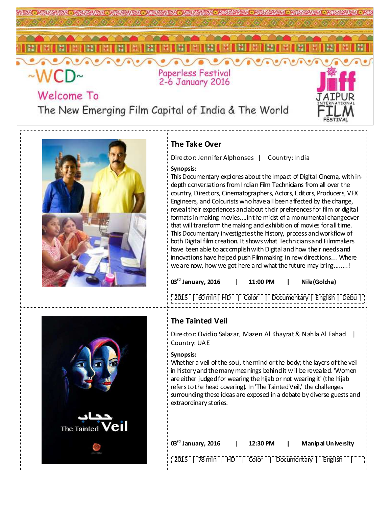

# Welcome To

The New Emerging Film Capital of India & The World



### **The Take Over**

Director: Jennifer Alphonses | Country: India

### **Synopsis:**

This Documentary explores about the Impact of Digital Cinema, with indepth conversations from Indian Film Technicians from all over the country, Directors, Cinematographers, Actors, Editors, Producers, VFX Engineers, and Colourists who have all been affected by the change, reveal their experiences and about their preferences for film or digital formats in making movies....in the midst of a monumental changeover that will transform the making and exhibition of movies for all time. This Documentary investigates the history, process and workflow of both Digital film creation. It shows what Technicians and Filmmakers have been able to accomplish with Digital and how their needs and innovations have helped push Filmmaking in new directions.... Where we are now, how we got here and what the future may bring........!

| $03^{\text{rd}}$ January, 2016 |  | 11:00 PM |  | Nile (Golcha)                                              |  |
|--------------------------------|--|----------|--|------------------------------------------------------------|--|
|                                |  |          |  | [2015   60 min   HD   Color   Documentary   English   Debu |  |



### **The Tainted Veil**

Director: Ovidio Salazar, Mazen Al Khayrat & Nahla Al Fahad | Country: UAE

#### **Synopsis:**

Whether a veil of the soul, the mind or the body; the layers of the veil in history and the many meanings behind it will be revealed. 'Women are either judged for wearing the hijab or not wearing it' (the hijab refers to the head covering). In 'The Tainted Veil,' the challenges surrounding these ideas are exposed in a debate by diverse guests and extraordinary stories.

| $03rd$ January, 2016 |  | 12:30 PM                                                       |  | Man ip al Un iversity |  |  |
|----------------------|--|----------------------------------------------------------------|--|-----------------------|--|--|
|                      |  | $\frac{1}{2015}$   78 min   HD   Color   Documentary   English |  |                       |  |  |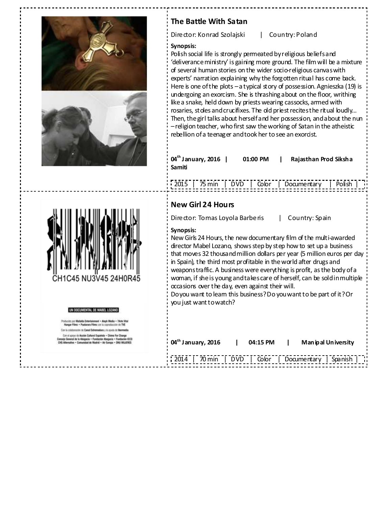

# **The Battle With Satan**

Director: Konrad Szolajski | Country: Poland

#### **Synopsis:**

Polish social life is strongly permeated by religious beliefs and 'deliverance ministry' is gaining more ground. The film will be a mixture of several human stories on the wider socio-religious canvas with experts' narration explaining why the forgotten ritual has come back. Here is one of the plots – a typical story of possession. Agnieszka (19) is undergoing an exorcism. She is thrashing about on the floor, writhing like a snake, held down by priests wearing cassocks, armed with rosaries, stoles and crucifixes. The old priest recites the ritual loudly… Then, the girl talks about herself and her possession, and about the nun – religion teacher, who first saw the working of Satan in the atheistic rebellion of a teenager and took her to see an exorcist.

| $04^{\text{th}}$ January, 2016 | 01:00 PM | Rajasthan Prod Siksha |
|--------------------------------|----------|-----------------------|
| Samiti                         |          |                       |

|  |  | $\frac{1}{2015}$   75 min   DVD   Color   Documentary   Polish |  |
|--|--|----------------------------------------------------------------|--|
|  |  |                                                                |  |
|  |  |                                                                |  |

### **New Girl 24 Hours**

Director: Tomas Loyola Barberis | Country: Spain

### **Synopsis:**

New Girls 24 Hours, the new documentary film of the multi-awarded director Mabel Lozano, shows step by step how to set up a business that moves 32 thousand million dollars per year (5 million euros per day in Spain), the third most profitable in the world after drugs and weapons traffic. A business were everything is profit, as the body of a woman, if she is young and takes care of herself, can be sold in multiple occasions over the day, even against their will.

Do you want to learn this business? Do you want to be part of it? Or you just want to watch?

| $04^{\text{th}}$ January, 2016 | 04:15 PM | Man ip al Un iversity                               |
|--------------------------------|----------|-----------------------------------------------------|
| --------------------           |          | 2014   70 min   DVD   Color   Documentary   Spanish |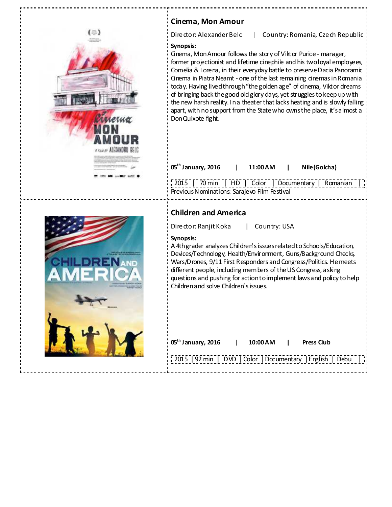| <b>Cinema, Mon Amour</b>                                                                                                                                                                                                                                                                                                                                                                                                                                                                                                                                                                                                                       |
|------------------------------------------------------------------------------------------------------------------------------------------------------------------------------------------------------------------------------------------------------------------------------------------------------------------------------------------------------------------------------------------------------------------------------------------------------------------------------------------------------------------------------------------------------------------------------------------------------------------------------------------------|
| Director: Alexander Belc<br>Country: Romania, Czech Republic                                                                                                                                                                                                                                                                                                                                                                                                                                                                                                                                                                                   |
| Synopsis:<br>Gnema, Mon Amour follows the story of Viktor Purice - manager,<br>former projectionist and lifetime cinephile and his two loyal employees,<br>Cornelia & Lorena, in their everyday battle to preserve Dacia Panoramic<br>Gnema in Piatra Neamt - one of the last remaining cinemas in Romania<br>today. Having lived through "the golden age" of cinema, Viktor dreams<br>of bringing back the good old glory days, yet struggles to keep up with<br>the new harsh reality. In a theater that lacks heating and is slowly falling<br>apart, with no support from the State who ownsthe place, it's almost a<br>Don Quixote fight. |
| 05 <sup>th</sup> January, 2016<br>Nile (Golcha)<br>11:00 AM<br>[2015   70 min   HD   Color   Documentary   Romanian<br>Previous Nominations: Sarajevo Film Festival                                                                                                                                                                                                                                                                                                                                                                                                                                                                            |
|                                                                                                                                                                                                                                                                                                                                                                                                                                                                                                                                                                                                                                                |
| <b>Children and America</b><br>Country: USA<br>Director: Ranjit Koka<br>Synopsis:<br>A 4th grader analyzes Children's issues related to Schools/Education,<br>Devices/Technology, Health/Environment, Guns/Background Checks,<br>Wars/Drones, 9/11 First Responders and Congress/Politics. He meets<br>different people, including members of the US Congress, asking<br>questions and pushing for action to implement laws and policy to help<br>Children and solve Children's issues.                                                                                                                                                        |
| $05^{\text{th}}$ January, 2016<br><b>Press Club</b><br>10:00 AM<br>2015   92 min   DVD   Color   Documentary   English   Debu                                                                                                                                                                                                                                                                                                                                                                                                                                                                                                                  |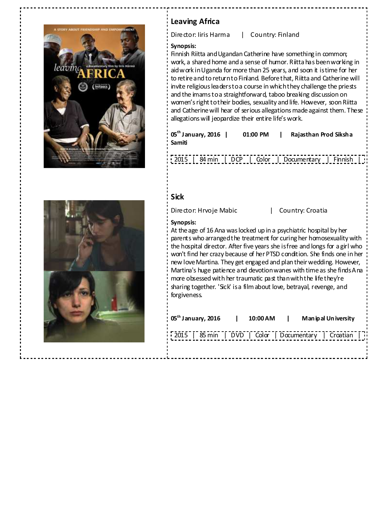



### **Leaving Africa**

Director: Iiris Harma | Country: Finland

### **Synopsis:**

Finnish Riitta and Ugandan Catherine have something in common; work, a shared home and a sense of humor. Riitta has been working in aid work in Uganda for more than 25 years, and soon it is time for her to retire and to return to Finland. Before that, Riitta and Catherine will invite religious leaders to a course in which they challenge the priests and the imams to a straightforward, taboo breaking discussion on women's right to their bodies, sexuality and life. However, soon Riitta and Catherine will hear of serious allegations made against them. These allegations will jeopardize their entire life's work.

**05th January, 2016 | 01:00 PM | Rajasthan Prod Siksha Samiti** 

2015 | 84 min | DCP | Color | Documentary | Finnish |

### **Sick**

Director: Hrvoje Mabic | Country: Croatia

#### **Synopsis:**

At the age of 16 Ana was locked up in a psychiatric hospital by her parents who arranged the treatment for curing her homosexuality with the hospital director. After five years she is free and longs for a girl who won't find her crazy because of her PTSD condition. She finds one in her new love Martina. They get engaged and plan their wedding. However, Martina's huge patience and devotion wanes with time as she finds Ana more obsessed with her traumatic past than with the life they're sharing together. 'Sick' is a film about love, betrayal, revenge, and forgiveness.

| $05th$ January, 2016                                     | 10:00 AM | $\blacksquare$ | Man ip al Un iversity |  |
|----------------------------------------------------------|----------|----------------|-----------------------|--|
| 2015   85 min   DVD   Color   Documentary   Croatian   i |          |                |                       |  |
|                                                          |          |                |                       |  |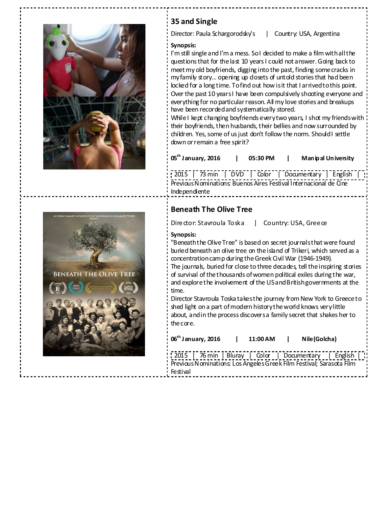



## **35 and Single**

Director: Paula Schargorodsky's | Country: USA, Argentina

### **Synopsis:**

I'm still single and I'm a mess. So I decided to make a film with all the questions that for the last 10 years I could not answer. Going back to meet my old boyfriends, digging into the past, finding some cracks in my family story... opening up closets of untold stories that had been locked for a long time. To find out how is it that I arrived to this point. Over the past 10 years I have been compulsively shooting everyone and everything for no particular reason. All my love stories and breakups have been recorded and systematically stored.

While I kept changing boyfriends every two years, I shot my friends with their boyfriends, then husbands, their bellies and now surrounded by children. Yes, some of us just don't follow the norm. Should I settle down or remain a free spirit?

| $05^{\text{th}}$ January, 2016 | 05:30 PM | Man ip al Un iversity |
|--------------------------------|----------|-----------------------|
|                                |          |                       |

2015 | 73 min | DVD | Color | Documentary | English | Previous Nominations: Buenos Aires Festival Internacional de Cine Independiente

### **Beneath The Olive Tree**

Director: Stavroula Toska | Country: USA, Greece

### **Synopsis:**

"Beneath the Olive Tree" is based on secret journals that were found buried beneath an olive tree on the island of Trikeri, which served as a concentration camp during the Greek Civil War (1946-1949). The journals, buried for close to three decades, tell the inspiring stories of survival of the thousands of women political exiles during the war, and explore the involvement of the US and British governments at the time.

Director Stavroula Toska takes the journey from New York to Greece to shed light on a part of modern history the world knows very little about, and in the process discovers a family secret that shakes her to the core.

| $06^{\text{th}}$ January, 2016                                       | 11:00 AM | Nile (Golcha) |  |
|----------------------------------------------------------------------|----------|---------------|--|
| 2015   76 min   Bluray   Color   Documentary   English               |          |               |  |
| Previous Nominations: Los Angeles Greek Film Festival; Sarasota Film |          |               |  |
| Festival                                                             |          |               |  |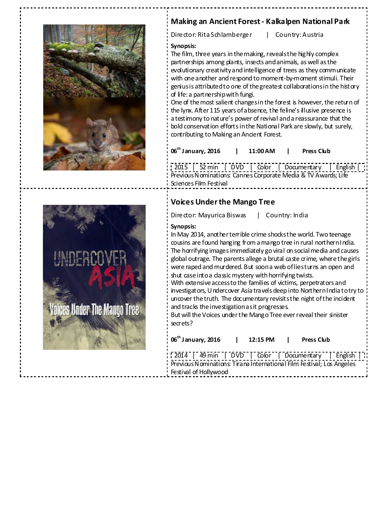



### **Making an Ancient Forest - Kalkalpen National Park**

Director: Rita Schlamberger | Country: Austria

### **Synopsis:**

The film, three years in the making, reveals the highly complex partnerships among plants, insects and animals, as well as the evolutionary creativity and intelligence of trees as they communicate with one another and respond to moment-by-moment stimuli. Their genius is attributed to one of the greatest collaborations in the history of life: a partnership with fungi.

One of the most salient changes in the forest is however, the return of the lynx. After 115 years of absence, the feline's illusive presence is a testimony to nature's power of revival and a reassurance that the bold conservation efforts in the National Park are slowly, but surely, contributing to Making an Ancient Forest.

**06th January, 2016 | 11:00 AM | Press Club** 

2015 | 52 min | DVD | Color | Documentary | English | Previous Nominations: Cannes Corporate Media & TV Awards; Life Sciences Film Festival

### **Voices Under the Mango Tree**

Director: Mayurica Biswas | Country: India

### **Synopsis:**

In May 2014, another terrible crime shocks the world. Two teenage cousins are found hanging from a mango tree in rural northern India. The horrifying images immediately go viral on social media and causes global outrage. The parents allege a brutal caste crime, where the girls were raped and murdered. But soon a web of lies turns an open and shut case into a classic mystery with horrifying twists. With extensive access to the families of victims, perpetrators and investigators, Undercover Asia travels deep into Northern India to try to uncover the truth. The documentary revisits the night of the incident

and tracks the investigation as it progresses.

But will the Voices under the Mango Tree ever reveal their sinister secrets?

| $06^{\text{th}}$ January, 2016                                        | $\mathbf{I}$ | 12:15 PM l |  | <b>Press Club</b> |  |  |
|-----------------------------------------------------------------------|--------------|------------|--|-------------------|--|--|
| 2014   49 min   DVD   Color   Documentary   English                   |              |            |  |                   |  |  |
| Previous Nominations: Tirana International Film Festival; Los Angeles |              |            |  |                   |  |  |
| Festival of Hollywood                                                 |              |            |  |                   |  |  |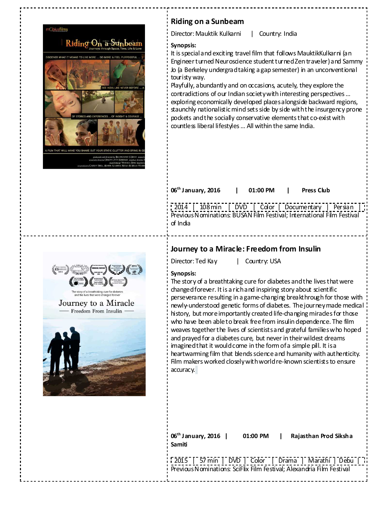

### **Riding on a Sunbeam**

Director: Mauktik Kulkarni | Country: India

#### **Synopsis:**

It is special and exciting travel film that follows MauktikKulkarni (an Engineer turned Neuroscience student turned Zen traveler) and Sammy Jo (a Berkeley undergrad taking a gap semester) in an unconventional touristy way.

Playfully, abundantly and on occasions, acutely, they explore the contradictions of our Indian society with interesting perspectives ... exploring economically developed places alongside backward regions, staunchly nationalistic mind sets side by side with the insurgency prone pockets and the socially conservative elements that co-exist with countless liberal lifestyles … All within the same India.

| 06 <sup>th</sup> January, 2016   01:00 PM   Press Club |  |  |  |
|--------------------------------------------------------|--|--|--|
| 2014   108 min   DVD   Color   Documentary   Persian   |  |  |  |

Previous Nominations: BUSAN Film Festival; International Film Festival of India

### **Journey to a Miracle: Freedom from Insulin**

Director: Ted Kay | Country: USA

#### **Synopsis:**

The story of a breathtaking cure for diabetes and the lives that were changed forever. It is a rich and inspiring story about scientific perseverance resulting in a game-changing breakthrough for those with newly-understood genetic forms of diabetes. The journey made medical history, but more importantly created life-changing mirades for those who have been able to break free from insulin dependence. The film weaves together the lives of scientists and grateful families who hoped and prayed for a diabetes cure, but never in their wildest dreams imagined that it would come in the form of a simple pill. It is a heartwarming film that blends science and humanity with authenticity. Film makers worked closely with world re-known scientists to ensure accuracy.

| 06 <sup>th</sup> January, 2016   01:00 PM  <br>Samiti                 |  | Rajasthan Prod Siksha                                 |
|-----------------------------------------------------------------------|--|-------------------------------------------------------|
| Previous Nominations: SciFlix Film Festival; Alexandria Film Festival |  | [2015   57 min   DVD   Color   Drama   Marathi   Debu |

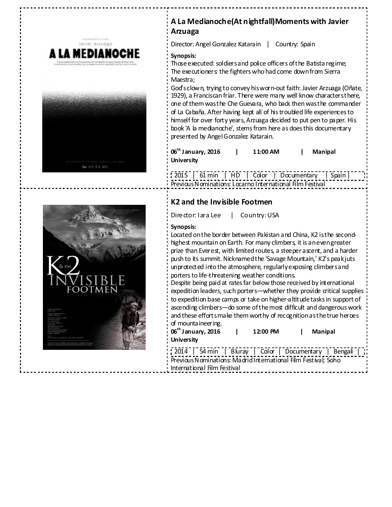



### **A La Medianoche(At nightfall)Moments with Javier Arzuaga**

Director: Angel Gonzalez Katarain | Country: Spain

### **Synopsis:**

Those executed: soldiers and police officers of the Batista regime; The executioners: the fighters who had come down from Sierra Maestra;

God's clown, trying to convey his worn-out faith: Javier Arzuaga (Oñate, 1929), a Franciscan friar. There were many well know characters there, one of them was the Che Guevara, who back then was the commander of La Cabaña. After having kept all of his troubled life experiences to himself for over forty years, Arzuaga decided to put pen to paper. His book 'A la medianoche', stems from here as does this documentary presented by Angel Gonzalez Katarain.

**06th January, 2016 | 11:00 AM | Manipal University** 

2015 | 61 min | HD | Color | Documentary | Spain Previous Nominations: Locarno International Film Festival

### **K2 and the Invisible Footmen**

Director: Iara Lee | Country: USA

### **Synopsis:**

Located on the border between Pakistan and China, K2 is the secondhighest mountain on Earth. For many climbers, it is an even greater prize than Everest, with limited routes, a steeper ascent, and a harder push to its summit. Nicknamed the 'Savage Mountain,' K2's peak juts unprotected into the atmosphere, regularly exposing climbers and porters to life-threatening weather conditions.

Despite being paid at rates far below those received by international expedition leaders, such porters—whether they provide critical supplies to expedition base camps or take on higher-altitude tasks in support of ascending climbers—do some of the most difficult and dangerous work and these efforts make them worthy of recognition as the true heroes of mountaineering.

| $06^{\text{th}}$ January, 2016 | 12:00 PM | Manipal |
|--------------------------------|----------|---------|
| University                     |          |         |

|                                                                |                             |  |  | 2014   54 min   Bluray   Color   Documentary   Bengali |  |  |
|----------------------------------------------------------------|-----------------------------|--|--|--------------------------------------------------------|--|--|
| Previous Nominations: Madrid International Film Festival: Soho |                             |  |  |                                                        |  |  |
|                                                                | International Film Festival |  |  |                                                        |  |  |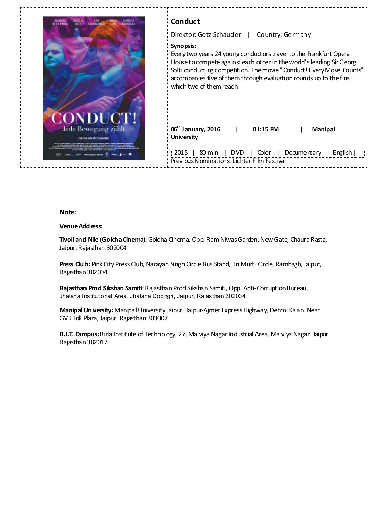

| Conduct                                                                                                                                                                                                                                                                                                                           |  |  |  |  |
|-----------------------------------------------------------------------------------------------------------------------------------------------------------------------------------------------------------------------------------------------------------------------------------------------------------------------------------|--|--|--|--|
| Director: Gotz Schauder  <br>Country: Ge many                                                                                                                                                                                                                                                                                     |  |  |  |  |
| Synopsis:<br>Every two years 24 young conductors travel to the Frankfurt Opera<br>House to compete against each other in the world's leading Sir Georg<br>Solti conducting competition. The movie "Conduct! Every Move Counts"<br>accompanies five of them through evaluation rounds up to the final,<br>which two of them reach. |  |  |  |  |
| $06^{\text{th}}$ January, 2016<br>01:15 PM<br><b>Manipal</b><br><b>University</b>                                                                                                                                                                                                                                                 |  |  |  |  |
| 2015   80 min   DVD   Color   Documentary   English    <br>Previous Nominations: Lichter Film Festival                                                                                                                                                                                                                            |  |  |  |  |

#### **Note:**

#### **Venue Address:**

**Tivoli and Nile (Golcha Cinema):** Golcha Cinema, Opp. Ram Niwas Garden, New Gate, Chaura Rasta, Jaipur, Rajasthan 302004

Press Club: Pink City Press Club, Narayan Singh Circle Bus Stand, Tri Murti Circle, Rambagh, Jaipur, Rajasthan 302004

**Rajasthan Prod Sikshan Samiti**: Rajasthan Prod Sikshan Samiti, Opp. Anti-Corruption Bureau, Jhalana Institutional Area, Jhalana Doongri, Jaipur, Rajasthan 302004

**Manipal University:** Manipal University Jaipur, Jaipur-Ajmer Express Highway, Dehmi Kalan, Near GVK Toll Plaza, Jaipur, Rajasthan 303007

**B.I.T. Campus:** Birla Institute of Technology, 27, Malviya Nagar Industrial Area, Malviya Nagar, Jaipur, Rajasthan 302017